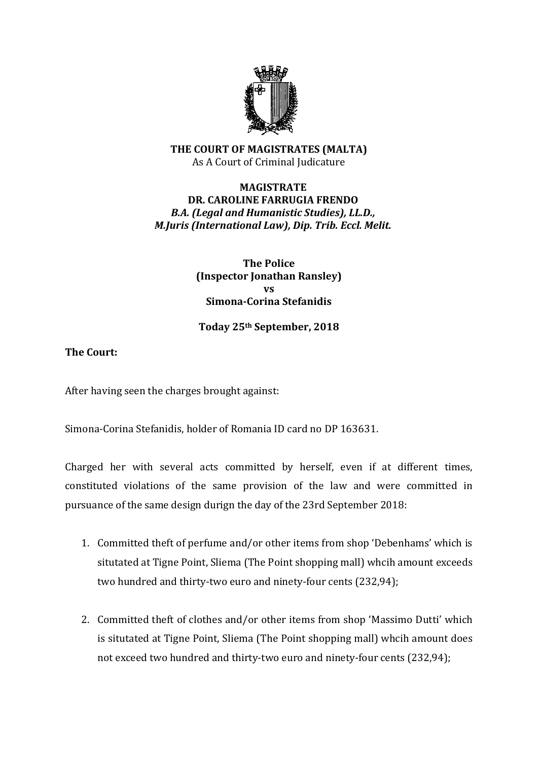

### **THE COURT OF MAGISTRATES (MALTA)** As A Court of Criminal Judicature

## **MAGISTRATE DR. CAROLINE FARRUGIA FRENDO** *B.A. (Legal and Humanistic Studies), LL.D., M.Juris (International Law), Dip. Trib. Eccl. Melit.*

### **The Police (Inspector Jonathan Ransley) vs Simona-Corina Stefanidis**

## **Today 25th September, 2018**

# **The Court:**

After having seen the charges brought against:

Simona-Corina Stefanidis, holder of Romania ID card no DP 163631.

Charged her with several acts committed by herself, even if at different times, constituted violations of the same provision of the law and were committed in pursuance of the same design durign the day of the 23rd September 2018:

- 1. Committed theft of perfume and/or other items from shop 'Debenhams' which is situtated at Tigne Point, Sliema (The Point shopping mall) whcih amount exceeds two hundred and thirty-two euro and ninety-four cents (232,94);
- 2. Committed theft of clothes and/or other items from shop 'Massimo Dutti' which is situtated at Tigne Point, Sliema (The Point shopping mall) whcih amount does not exceed two hundred and thirty-two euro and ninety-four cents (232,94);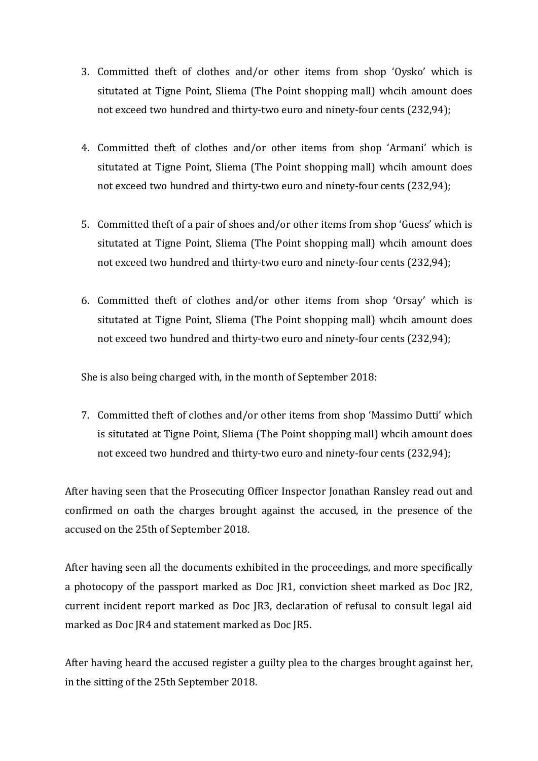- 3. Committed theft of clothes and/or other items from shop 'Oysko' which is situtated at Tigne Point, Sliema (The Point shopping mall) whcih amount does not exceed two hundred and thirty-two euro and ninety-four cents (232,94);
- 4. Committed theft of clothes and/or other items from shop 'Armani' which is situtated at Tigne Point, Sliema (The Point shopping mall) whcih amount does not exceed two hundred and thirty-two euro and ninety-four cents (232,94);
- 5. Committed theft of a pair of shoes and/or other items from shop 'Guess' which is situtated at Tigne Point, Sliema (The Point shopping mall) whcih amount does not exceed two hundred and thirty-two euro and ninety-four cents (232,94);
- 6. Committed theft of clothes and/or other items from shop 'Orsay' which is situtated at Tigne Point, Sliema (The Point shopping mall) whcih amount does not exceed two hundred and thirty-two euro and ninety-four cents (232,94);

She is also being charged with, in the month of September 2018:

7. Committed theft of clothes and/or other items from shop 'Massimo Dutti' which is situtated at Tigne Point, Sliema (The Point shopping mall) whcih amount does not exceed two hundred and thirty-two euro and ninety-four cents (232,94);

After having seen that the Prosecuting Officer Inspector Jonathan Ransley read out and confirmed on oath the charges brought against the accused, in the presence of the accused on the 25th of September 2018.

After having seen all the documents exhibited in the proceedings, and more specifically a photocopy of the passport marked as Doc JR1, conviction sheet marked as Doc JR2, current incident report marked as Doc JR3, declaration of refusal to consult legal aid marked as Doc JR4 and statement marked as Doc JR5.

After having heard the accused register a guilty plea to the charges brought against her, in the sitting of the 25th September 2018.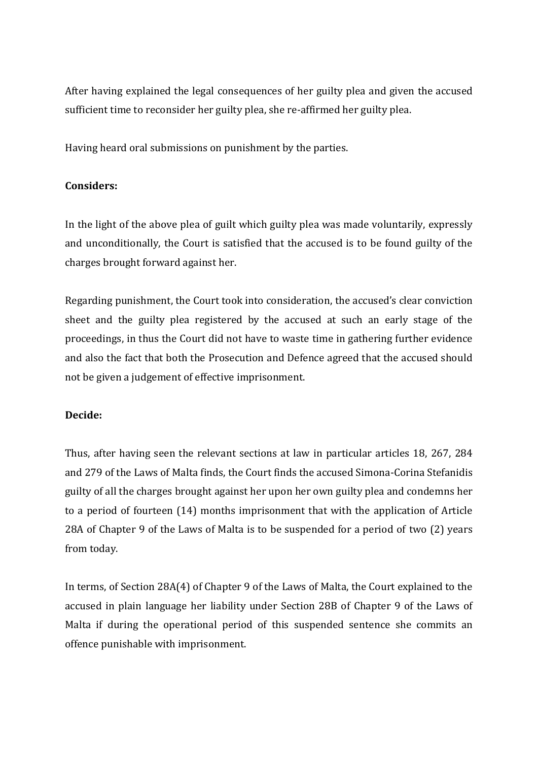After having explained the legal consequences of her guilty plea and given the accused sufficient time to reconsider her guilty plea, she re-affirmed her guilty plea.

Having heard oral submissions on punishment by the parties.

## **Considers:**

In the light of the above plea of guilt which guilty plea was made voluntarily, expressly and unconditionally, the Court is satisfied that the accused is to be found guilty of the charges brought forward against her.

Regarding punishment, the Court took into consideration, the accused's clear conviction sheet and the guilty plea registered by the accused at such an early stage of the proceedings, in thus the Court did not have to waste time in gathering further evidence and also the fact that both the Prosecution and Defence agreed that the accused should not be given a judgement of effective imprisonment.

# **Decide:**

Thus, after having seen the relevant sections at law in particular articles 18, 267, 284 and 279 of the Laws of Malta finds, the Court finds the accused Simona-Corina Stefanidis guilty of all the charges brought against her upon her own guilty plea and condemns her to a period of fourteen (14) months imprisonment that with the application of Article 28A of Chapter 9 of the Laws of Malta is to be suspended for a period of two (2) years from today.

In terms, of Section 28A(4) of Chapter 9 of the Laws of Malta, the Court explained to the accused in plain language her liability under Section 28B of Chapter 9 of the Laws of Malta if during the operational period of this suspended sentence she commits an offence punishable with imprisonment.